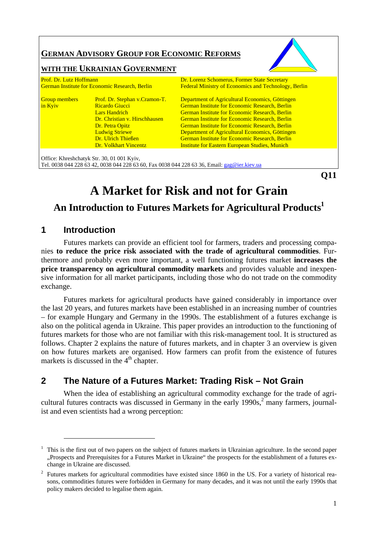# **GERMAN ADVISORY GROUP FOR ECONOMIC REFORMS**

WITH THE *UKRAINIAN GOVERNMENT* 

| Prof. Dr. Lutz Hoffmann<br><b>German Institute for Economic Research, Berlin</b><br>Prof. Dr. Stephan v.Cramon-T.<br><b>Group members</b><br>in Kyiv<br>Ricardo Giucci<br><b>Lars Handrich</b><br>Dr. Christian v. Hirschhausen<br>Dr. Petra Opitz<br><b>Ludwig Striewe</b><br>Dr. Ulrich Thießen<br>Dr. Volkhart Vincentz |                                            | Dr. Lorenz Schomerus, Former State Secretary<br>Federal Ministry of Economics and Technology, Berlin                                                                                                                                                                                                                                                                                                                                                     |  |
|----------------------------------------------------------------------------------------------------------------------------------------------------------------------------------------------------------------------------------------------------------------------------------------------------------------------------|--------------------------------------------|----------------------------------------------------------------------------------------------------------------------------------------------------------------------------------------------------------------------------------------------------------------------------------------------------------------------------------------------------------------------------------------------------------------------------------------------------------|--|
|                                                                                                                                                                                                                                                                                                                            |                                            | Department of Agricultural Economics, Göttingen<br><b>German Institute for Economic Research, Berlin</b><br><b>German Institute for Economic Research, Berlin</b><br><b>German Institute for Economic Research, Berlin</b><br><b>German Institute for Economic Research, Berlin</b><br>Department of Agricultural Economics, Göttingen<br><b>German Institute for Economic Research, Berlin</b><br><b>Institute for Eastern European Studies, Munich</b> |  |
|                                                                                                                                                                                                                                                                                                                            | Office: Khreshchatyk Str. 30, 01 001 Kyiv, |                                                                                                                                                                                                                                                                                                                                                                                                                                                          |  |

Tel. 0038 044 228 63 42, 0038 044 228 63 60, Fax 0038 044 228 63 36, Email: gag@ier.kiev.ua

**Q11** 

# **A Market for Risk and not for Grain**

# **An Introduction to Futures Markets for Agricultural Products1**

# **1 Introduction**

 $\overline{a}$ 

Futures markets can provide an efficient tool for farmers, traders and processing companies **to reduce the price risk associated with the trade of agricultural commodities**. Furthermore and probably even more important, a well functioning futures market **increases the price transparency on agricultural commodity markets** and provides valuable and inexpensive information for all market participants, including those who do not trade on the commodity exchange.

Futures markets for agricultural products have gained considerably in importance over the last 20 years, and futures markets have been established in an increasing number of countries – for example Hungary and Germany in the 1990s. The establishment of a futures exchange is also on the political agenda in Ukraine. This paper provides an introduction to the functioning of futures markets for those who are not familiar with this risk-management tool. It is structured as follows. Chapter 2 explains the nature of futures markets, and in chapter 3 an overview is given on how futures markets are organised. How farmers can profit from the existence of futures markets is discussed in the  $4<sup>th</sup>$  chapter.

# **2 The Nature of a Futures Market: Trading Risk – Not Grain**

When the idea of establishing an agricultural commodity exchange for the trade of agricultural futures contracts was discussed in Germany in the early  $1990s$ ,<sup>2</sup> many farmers, journalist and even scientists had a wrong perception:

 $1$  This is the first out of two papers on the subject of futures markets in Ukrainian agriculture. In the second paper "Prospects and Prerequisites for a Futures Market in Ukraine" the prospects for the establishment of a futures exchange in Ukraine are discussed.

 $2$  Futures markets for agricultural commodities have existed since 1860 in the US. For a variety of historical reasons, commodities futures were forbidden in Germany for many decades, and it was not until the early 1990s that policy makers decided to legalise them again.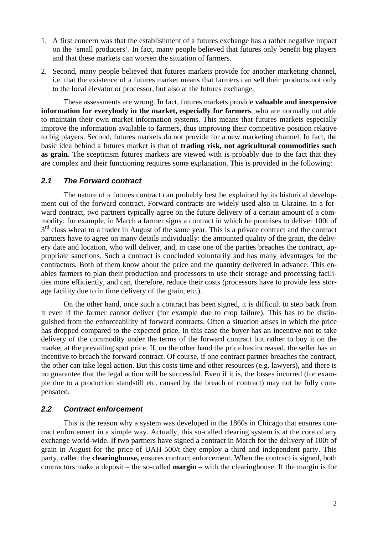- 1. A first concern was that the establishment of a futures exchange has a rather negative impact on the 'small producers'. In fact, many people believed that futures only benefit big players and that these markets can worsen the situation of farmers.
- 2. Second, many people believed that futures markets provide for another marketing channel, i.e. that the existence of a futures market means that farmers can sell their products not only to the local elevator or processor, but also at the futures exchange.

These assessments are wrong. In fact, futures markets provide **valuable and inexpensive information for everybody in the market, especially for farmers**, who are normally not able to maintain their own market information systems. This means that futures markets especially improve the information available to farmers, thus improving their competitive position relative to big players. Second, futures markets do not provide for a new marketing channel. In fact, the basic idea behind a futures market is that of **trading risk, not agricultural commodities such as grain**. The scepticism futures markets are viewed with is probably due to the fact that they are complex and their functioning requires some explanation. This is provided in the following:

#### *2.1 The Forward contract*

The nature of a futures contract can probably best be explained by its historical development out of the forward contract. Forward contracts are widely used also in Ukraine. In a forward contract, two partners typically agree on the future delivery of a certain amount of a commodity: for example, in March a farmer signs a contract in which he promises to deliver 100t of  $3<sup>rd</sup>$  class wheat to a trader in August of the same year. This is a private contract and the contract partners have to agree on many details individually: the amounted quality of the grain, the delivery date and location, who will deliver, and, in case one of the parties breaches the contract, appropriate sanctions. Such a contract is concluded voluntarily and has many advantages for the contractors. Both of them know about the price and the quantity delivered in advance. This enables farmers to plan their production and processors to use their storage and processing facilities more efficiently, and can, therefore, reduce their costs (processors have to provide less storage facility due to in time delivery of the grain, etc.).

On the other hand, once such a contract has been signed, it is difficult to step back from it even if the farmer cannot deliver (for example due to crop failure). This has to be distinguished from the enforceability of forward contracts. Often a situation arises in which the price has dropped compared to the expected price. In this case the buyer has an incentive not to take delivery of the commodity under the terms of the forward contract but rather to buy it on the market at the prevailing spot price. If, on the other hand the price has increased, the seller has an incentive to breach the forward contract. Of course, if one contract partner breaches the contract, the other can take legal action. But this costs time and other resources (e.g. lawyers), and there is no guarantee that the legal action will be successful. Even if it is, the losses incurred (for example due to a production standstill etc. caused by the breach of contract) may not be fully compensated.

#### *2.2 Contract enforcement*

This is the reason why a system was developed in the 1860s in Chicago that ensures contract enforcement in a simple way. Actually, this so-called clearing system is at the core of any exchange world-wide. If two partners have signed a contract in March for the delivery of 100t of grain in August for the price of UAH 500/t they employ a third and independent party. This party, called the **clearinghouse,** ensures contract enforcement. When the contract is signed, both contractors make a deposit – the so-called **margin –** with the clearinghouse. If the margin is for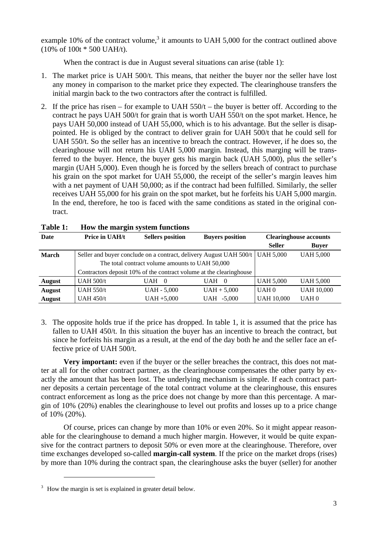example 10% of the contract volume,<sup>3</sup> it amounts to UAH 5,000 for the contract outlined above (10% of 100t \* 500 UAH/t).

When the contract is due in August several situations can arise (table 1):

- 1. The market price is UAH 500/t. This means, that neither the buyer nor the seller have lost any money in comparison to the market price they expected. The clearinghouse transfers the initial margin back to the two contractors after the contract is fulfilled.
- 2. If the price has risen for example to UAH  $550/t$  the buyer is better off. According to the contract he pays UAH 500/t for grain that is worth UAH 550/t on the spot market. Hence, he pays UAH 50,000 instead of UAH 55,000, which is to his advantage. But the seller is disappointed. He is obliged by the contract to deliver grain for UAH 500/t that he could sell for UAH 550/t. So the seller has an incentive to breach the contract. However, if he does so, the clearinghouse will not return his UAH 5,000 margin. Instead, this marging will be transferred to the buyer. Hence, the buyer gets his margin back (UAH 5,000), plus the seller's margin (UAH 5,000). Even though he is forced by the sellers breach of contract to purchase his grain on the spot market for UAH 55,000, the receipt of the seller's margin leaves him with a net payment of UAH 50,000; as if the contract had been fulfilled. Similarly, the seller receives UAH 55,000 for his grain on the spot market, but he forfeits his UAH 5,000 margin. In the end, therefore, he too is faced with the same conditions as stated in the original contract.

| Date          | Price in UAH/t                                  | <b>Sellers</b> position | <b>Buyers position</b>                                                         |                   | <b>Clearinghouse accounts</b> |
|---------------|-------------------------------------------------|-------------------------|--------------------------------------------------------------------------------|-------------------|-------------------------------|
|               |                                                 |                         |                                                                                | <b>Seller</b>     | <b>Buyer</b>                  |
| <b>March</b>  |                                                 |                         | Seller and buyer conclude on a contract, delivery August UAH 500/t   UAH 5,000 |                   | <b>UAH 5,000</b>              |
|               | The total contract volume amounts to UAH 50,000 |                         |                                                                                |                   |                               |
|               |                                                 |                         | Contractors deposit 10% of the contract volume at the clearinghouse            |                   |                               |
| <b>August</b> | UAH $500/t$                                     | UAH<br>- ()             | UAH 0                                                                          | <b>UAH 5,000</b>  | <b>UAH 5,000</b>              |
| <b>August</b> | UAH $550/t$                                     | <b>UAH - 5,000</b>      | $UAH + 5,000$                                                                  | UAH <sub>0</sub>  | <b>UAH 10,000</b>             |
| <b>August</b> | <b>UAH 450/t</b>                                | $UAH + 5,000$           | UAH -5,000                                                                     | <b>UAH 10,000</b> | UAH <sub>0</sub>              |

3. The opposite holds true if the price has dropped. In table 1, it is assumed that the price has fallen to UAH 450/t. In this situation the buyer has an incentive to breach the contract, but since he forfeits his margin as a result, at the end of the day both he and the seller face an effective price of UAH 500/t.

**Very important:** even if the buyer or the seller breaches the contract, this does not matter at all for the other contract partner, as the clearinghouse compensates the other party by exactly the amount that has been lost. The underlying mechanism is simple. If each contract partner deposits a certain percentage of the total contract volume at the clearinghouse, this ensures contract enforcement as long as the price does not change by more than this percentage. A margin of 10% (20%) enables the clearinghouse to level out profits and losses up to a price change of 10% (20%).

Of course, prices can change by more than 10% or even 20%. So it might appear reasonable for the clearinghouse to demand a much higher margin. However, it would be quite expansive for the contract partners to deposit 50% or even more at the clearinghouse. Therefore, over time exchanges developed so-called **margin-call system**. If the price on the market drops (rises) by more than 10% during the contract span, the clearinghouse asks the buyer (seller) for another

 $3 \times 10$  How the margin is set is explained in greater detail below.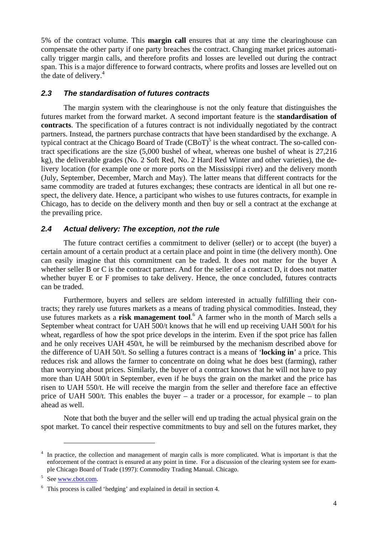5% of the contract volume. This **margin call** ensures that at any time the clearinghouse can compensate the other party if one party breaches the contract. Changing market prices automatically trigger margin calls, and therefore profits and losses are levelled out during the contract span. This is a major difference to forward contracts, where profits and losses are levelled out on the date of delivery. $4$ 

#### *2.3 The standardisation of futures contracts*

The margin system with the clearinghouse is not the only feature that distinguishes the futures market from the forward market. A second important feature is the **standardisation of contracts**. The specification of a futures contract is not individually negotiated by the contract partners. Instead, the partners purchase contracts that have been standardised by the exchange. A typical contract at the Chicago Board of Trade  $(CBoT)^5$  is the wheat contract. The so-called contract specifications are the size (5,000 bushel of wheat, whereas one bushel of wheat is 27,216 kg), the deliverable grades (No. 2 Soft Red, No. 2 Hard Red Winter and other varieties), the delivery location (for example one or more ports on the Mississippi river) and the delivery month (July, September, December, March and May). The latter means that different contracts for the same commodity are traded at futures exchanges; these contracts are identical in all but one respect, the delivery date. Hence, a participant who wishes to use futures contracts, for example in Chicago, has to decide on the delivery month and then buy or sell a contract at the exchange at the prevailing price.

#### *2.4 Actual delivery: The exception, not the rule*

The future contract certifies a commitment to deliver (seller) or to accept (the buyer) a certain amount of a certain product at a certain place and point in time (the delivery month). One can easily imagine that this commitment can be traded. It does not matter for the buyer A whether seller B or C is the contract partner. And for the seller of a contract D, it does not matter whether buyer E or F promises to take delivery. Hence, the once concluded, futures contracts can be traded.

Furthermore, buyers and sellers are seldom interested in actually fulfilling their contracts; they rarely use futures markets as a means of trading physical commodities. Instead, they use futures markets as a **risk management tool**.<sup>6</sup> A farmer who in the month of March sells a September wheat contract for UAH 500/t knows that he will end up receiving UAH 500/t for his wheat, regardless of how the spot price develops in the interim. Even if the spot price has fallen and he only receives UAH 450/t, he will be reimbursed by the mechanism described above for the difference of UAH 50/t. So selling a futures contract is a means of '**locking in**' a price. This reduces risk and allows the farmer to concentrate on doing what he does best (farming), rather than worrying about prices. Similarly, the buyer of a contract knows that he will not have to pay more than UAH 500/t in September, even if he buys the grain on the market and the price has risen to UAH 550/t. He will receive the margin from the seller and therefore face an effective price of UAH 500/t. This enables the buyer – a trader or a processor, for example – to plan ahead as well.

Note that both the buyer and the seller will end up trading the actual physical grain on the spot market. To cancel their respective commitments to buy and sell on the futures market, they

<sup>4</sup> In practice, the collection and management of margin calls is more complicated. What is important is that the enforcement of the contract is ensured at any point in time. For a discussion of the clearing system see for example Chicago Board of Trade (1997): Commodity Trading Manual. Chicago.

<sup>5</sup> See www.cbot.com.

<sup>6</sup> This process is called 'hedging' and explained in detail in section 4.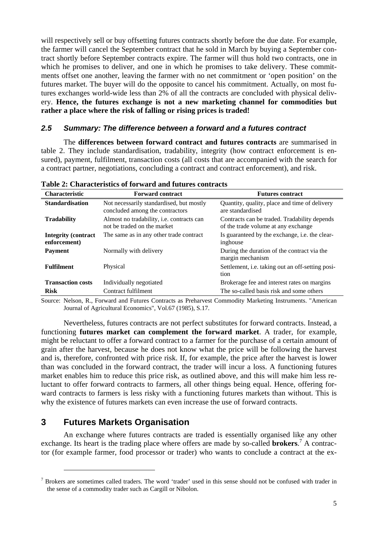will respectively sell or buy offsetting futures contracts shortly before the due date. For example, the farmer will cancel the September contract that he sold in March by buying a September contract shortly before September contracts expire. The farmer will thus hold two contracts, one in which he promises to deliver, and one in which he promises to take delivery. These commitments offset one another, leaving the farmer with no net commitment or 'open position' on the futures market. The buyer will do the opposite to cancel his commitment. Actually, on most futures exchanges world-wide less than 2% of all the contracts are concluded with physical delivery. **Hence, the futures exchange is not a new marketing channel for commodities but rather a place where the risk of falling or rising prices is traded!** 

#### *2.5 Summary: The difference between a forward and a futures contract*

The **differences between forward contract and futures contracts** are summarised in table 2. They include standardisation, tradability, integrity (how contract enforcement is ensured), payment, fulfilment, transaction costs (all costs that are accompanied with the search for a contract partner, negotiations, concluding a contract and contract enforcement), and risk.

| <b>Characteristic</b>                       | <b>Forward contract</b>                                                     | <b>Futures contract</b>                                                             |
|---------------------------------------------|-----------------------------------------------------------------------------|-------------------------------------------------------------------------------------|
| <b>Standardisation</b>                      | Not necessarily standardised, but mostly<br>concluded among the contractors | Quantity, quality, place and time of delivery<br>are standardised                   |
| <b>Tradability</b>                          | Almost no tradability, i.e. contracts can<br>not be traded on the market    | Contracts can be traded. Tradability depends<br>of the trade volume at any exchange |
| <b>Integrity (contract)</b><br>enforcement) | The same as in any other trade contract                                     | Is guaranteed by the exchange, <i>i.e.</i> the clear-<br>inghouse                   |
| <b>Payment</b>                              | Normally with delivery                                                      | During the duration of the contract via the<br>margin mechanism                     |
| <b>Fulfilment</b>                           | Physical                                                                    | Settlement, i.e. taking out an off-setting posi-<br>tion                            |
| <b>Transaction costs</b>                    | Individually negotiated                                                     | Brokerage fee and interest rates on margins                                         |
| <b>Risk</b>                                 | Contract fulfilment                                                         | The so-called basis risk and some others                                            |

**Table 2: Characteristics of forward and futures contracts** 

Source: Nelson, R., Forward and Futures Contracts as Preharvest Commodity Marketing Instruments. "American Journal of Agricultural Economics", Vol.67 (1985), S.17.

Nevertheless, futures contracts are not perfect substitutes for forward contracts. Instead, a functioning **futures market can complement the forward market**. A trader, for example, might be reluctant to offer a forward contract to a farmer for the purchase of a certain amount of grain after the harvest, because he does not know what the price will be following the harvest and is, therefore, confronted with price risk. If, for example, the price after the harvest is lower than was concluded in the forward contract, the trader will incur a loss. A functioning futures market enables him to reduce this price risk, as outlined above, and this will make him less reluctant to offer forward contracts to farmers, all other things being equal. Hence, offering forward contracts to farmers is less risky with a functioning futures markets than without. This is why the existence of futures markets can even increase the use of forward contracts.

### **3 Futures Markets Organisation**

 $\overline{a}$ 

An exchange where futures contracts are traded is essentially organised like any other exchange. Its heart is the trading place where offers are made by so-called **brokers**.<sup>7</sup> A contractor (for example farmer, food processor or trader) who wants to conclude a contract at the ex-

 $<sup>7</sup>$  Brokers are sometimes called traders. The word 'trader' used in this sense should not be confused with trader in</sup> the sense of a commodity trader such as Cargill or Nibolon.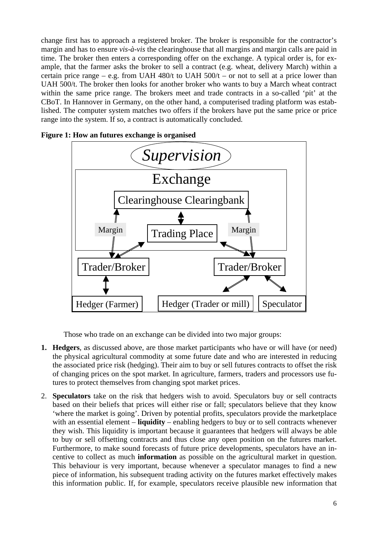change first has to approach a registered broker. The broker is responsible for the contractor's margin and has to ensure *vis-à-vis* the clearinghouse that all margins and margin calls are paid in time. The broker then enters a corresponding offer on the exchange. A typical order is, for example, that the farmer asks the broker to sell a contract (e.g. wheat, delivery March) within a certain price range – e.g. from UAH 480/t to UAH  $500/t$  – or not to sell at a price lower than UAH 500/t. The broker then looks for another broker who wants to buy a March wheat contract within the same price range. The brokers meet and trade contracts in a so-called 'pit' at the CBoT. In Hannover in Germany, on the other hand, a computerised trading platform was established. The computer system matches two offers if the brokers have put the same price or price range into the system. If so, a contract is automatically concluded.



**Figure 1: How an futures exchange is organised** 

Those who trade on an exchange can be divided into two major groups:

- **1. Hedgers**, as discussed above, are those market participants who have or will have (or need) the physical agricultural commodity at some future date and who are interested in reducing the associated price risk (hedging). Their aim to buy or sell futures contracts to offset the risk of changing prices on the spot market. In agriculture, farmers, traders and processors use futures to protect themselves from changing spot market prices.
- 2. **Speculators** take on the risk that hedgers wish to avoid. Speculators buy or sell contracts based on their beliefs that prices will either rise or fall; speculators believe that they know 'where the market is going'. Driven by potential profits, speculators provide the marketplace with an essential element – **liquidity** – enabling hedgers to buy or to sell contracts whenever they wish. This liquidity is important because it guarantees that hedgers will always be able to buy or sell offsetting contracts and thus close any open position on the futures market. Furthermore, to make sound forecasts of future price developments, speculators have an incentive to collect as much **information** as possible on the agricultural market in question. This behaviour is very important, because whenever a speculator manages to find a new piece of information, his subsequent trading activity on the futures market effectively makes this information public. If, for example, speculators receive plausible new information that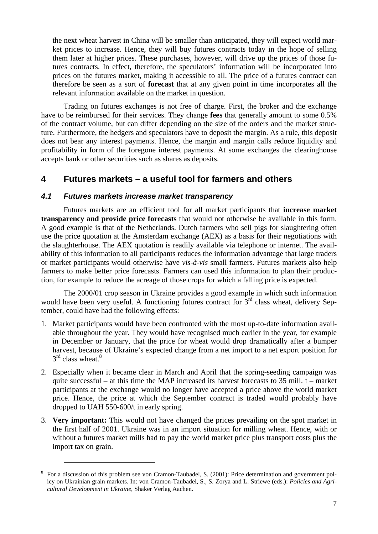the next wheat harvest in China will be smaller than anticipated, they will expect world market prices to increase. Hence, they will buy futures contracts today in the hope of selling them later at higher prices. These purchases, however, will drive up the prices of those futures contracts. In effect, therefore, the speculators' information will be incorporated into prices on the futures market, making it accessible to all. The price of a futures contract can therefore be seen as a sort of **forecast** that at any given point in time incorporates all the relevant information available on the market in question.

Trading on futures exchanges is not free of charge. First, the broker and the exchange have to be reimbursed for their services. They change **fees** that generally amount to some 0.5% of the contract volume, but can differ depending on the size of the orders and the market structure. Furthermore, the hedgers and speculators have to deposit the margin. As a rule, this deposit does not bear any interest payments. Hence, the margin and margin calls reduce liquidity and profitability in form of the foregone interest payments. At some exchanges the clearinghouse accepts bank or other securities such as shares as deposits.

## **4 Futures markets – a useful tool for farmers and others**

#### *4.1 Futures markets increase market transparency*

 $\overline{a}$ 

Futures markets are an efficient tool for all market participants that **increase market transparency and provide price forecasts** that would not otherwise be available in this form. A good example is that of the Netherlands. Dutch farmers who sell pigs for slaughtering often use the price quotation at the Amsterdam exchange (AEX) as a basis for their negotiations with the slaughterhouse. The AEX quotation is readily available via telephone or internet. The availability of this information to all participants reduces the information advantage that large traders or market participants would otherwise have *vis-à-vis* small farmers. Futures markets also help farmers to make better price forecasts. Farmers can used this information to plan their production, for example to reduce the acreage of those crops for which a falling price is expected.

The 2000/01 crop season in Ukraine provides a good example in which such information would have been very useful. A functioning futures contract for  $3<sup>rd</sup>$  class wheat, delivery September, could have had the following effects:

- 1. Market participants would have been confronted with the most up-to-date information available throughout the year. They would have recognised much earlier in the year, for example in December or January, that the price for wheat would drop dramatically after a bumper harvest, because of Ukraine's expected change from a net import to a net export position for  $3<sup>rd</sup>$  class wheat.<sup>8</sup>
- 2. Especially when it became clear in March and April that the spring-seeding campaign was quite successful – at this time the MAP increased its harvest forecasts to  $35$  mill. t – market participants at the exchange would no longer have accepted a price above the world market price. Hence, the price at which the September contract is traded would probably have dropped to UAH 550-600/t in early spring.
- 3. **Very important:** This would not have changed the prices prevailing on the spot market in the first half of 2001. Ukraine was in an import situation for milling wheat. Hence, with or without a futures market mills had to pay the world market price plus transport costs plus the import tax on grain.

<sup>8</sup> For a discussion of this problem see von Cramon-Taubadel, S. (2001): Price determination and government policy on Ukrainian grain markets. In: von Cramon-Taubadel, S., S. Zorya and L. Striewe (eds.): *Policies and Agricultural Development in Ukraine*, Shaker Verlag Aachen.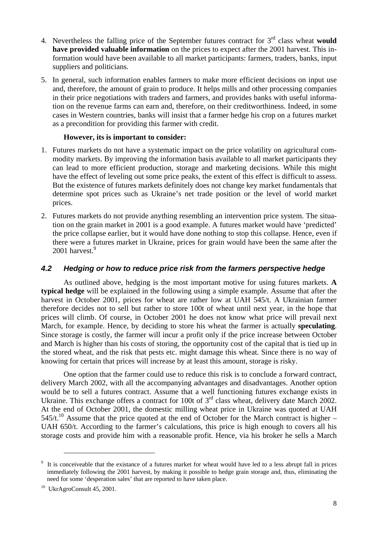- 4. Nevertheless the falling price of the September futures contract for 3rd class wheat **would have provided valuable information** on the prices to expect after the 2001 harvest. This information would have been available to all market participants: farmers, traders, banks, input suppliers and politicians.
- 5. In general, such information enables farmers to make more efficient decisions on input use and, therefore, the amount of grain to produce. It helps mills and other processing companies in their price negotiations with traders and farmers, and provides banks with useful information on the revenue farms can earn and, therefore, on their creditworthiness. Indeed, in some cases in Western countries, banks will insist that a farmer hedge his crop on a futures market as a precondition for providing this farmer with credit.

#### **However, its is important to consider:**

- 1. Futures markets do not have a systematic impact on the price volatility on agricultural commodity markets. By improving the information basis available to all market participants they can lead to more efficient production, storage and marketing decisions. While this might have the effect of leveling out some price peaks, the extent of this effect is difficult to assess. But the existence of futures markets definitely does not change key market fundamentals that determine spot prices such as Ukraine's net trade position or the level of world market prices.
- 2. Futures markets do not provide anything resembling an intervention price system. The situation on the grain market in 2001 is a good example. A futures market would have 'predicted' the price collapse earlier, but it would have done nothing to stop this collapse. Hence, even if there were a futures market in Ukraine, prices for grain would have been the same after the 2001 harvest.<sup>9</sup>

#### *4.2 Hedging or how to reduce price risk from the farmers perspective hedge*

As outlined above, hedging is the most important motive for using futures markets. **A typical hedge** will be explained in the following using a simple example. Assume that after the harvest in October 2001, prices for wheat are rather low at UAH 545/t. A Ukrainian farmer therefore decides not to sell but rather to store 100t of wheat until next year, in the hope that prices will climb. Of course, in October 2001 he does not know what price will prevail next March, for example. Hence, by deciding to store his wheat the farmer is actually **speculating**. Since storage is costly, the farmer will incur a profit only if the price increase between October and March is higher than his costs of storing, the opportunity cost of the capital that is tied up in the stored wheat, and the risk that pests etc. might damage this wheat. Since there is no way of knowing for certain that prices will increase by at least this amount, storage is risky.

One option that the farmer could use to reduce this risk is to conclude a forward contract, delivery March 2002, with all the accompanying advantages and disadvantages. Another option would be to sell a futures contract. Assume that a well functioning futures exchange exists in Ukraine. This exchange offers a contract for 100t of  $3<sup>rd</sup>$  class wheat, delivery date March 2002. At the end of October 2001, the domestic milling wheat price in Ukraine was quoted at UAH 545/t.<sup>10</sup> Assume that the price quoted at the end of October for the March contract is higher – UAH 650/t. According to the farmer's calculations, this price is high enough to covers all his storage costs and provide him with a reasonable profit. Hence, via his broker he sells a March

<sup>&</sup>lt;sup>9</sup> It is conceiveable that the existance of a futures market for wheat would have led to a less abrupt fall in prices immediately following the 2001 harvest, by making it possible to hedge grain storage and, thus, eliminating the need for some 'desperation sales' that are reported to have taken place.

<sup>10</sup> UkrAgroConsult 45, 2001.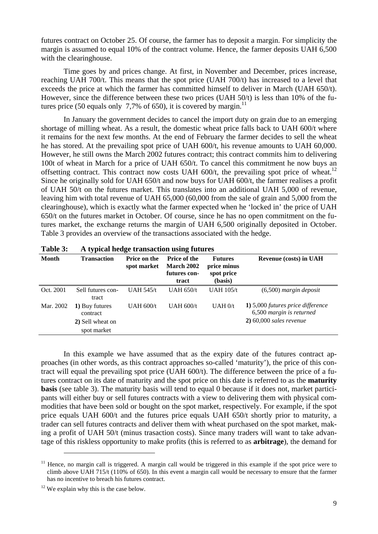futures contract on October 25. Of course, the farmer has to deposit a margin. For simplicity the margin is assumed to equal 10% of the contract volume. Hence, the farmer deposits UAH 6,500 with the clearinghouse.

Time goes by and prices change. At first, in November and December, prices increase, reaching UAH 700/t. This means that the spot price (UAH 700/t) has increased to a level that exceeds the price at which the farmer has committed himself to deliver in March (UAH 650/t). However, since the difference between these two prices (UAH 50/t) is less than 10% of the futures price (50 equals only 7,7% of 650), it is covered by margin.<sup>11</sup>

In January the government decides to cancel the import duty on grain due to an emerging shortage of milling wheat. As a result, the domestic wheat price falls back to UAH 600/t where it remains for the next few months. At the end of February the farmer decides to sell the wheat he has stored. At the prevailing spot price of UAH 600/t, his revenue amounts to UAH 60,000. However, he still owns the March 2002 futures contract; this contract commits him to delivering 100t of wheat in March for a price of UAH 650/t. To cancel this commitment he now buys an offsetting contract. This contract now costs UAH  $600/t$ , the prevailing spot price of wheat.<sup>12</sup> Since he originally sold for UAH 650/t and now buys for UAH 600/t, the farmer realises a profit of UAH 50/t on the futures market. This translates into an additional UAH 5,000 of revenue, leaving him with total revenue of UAH 65,000 (60,000 from the sale of grain and 5,000 from the clearinghouse), which is exactly what the farmer expected when he 'locked in' the price of UAH 650/t on the futures market in October. Of course, since he has no open commitment on the futures market, the exchange returns the margin of UAH 6,500 originally deposited in October. Table 3 provides an overview of the transactions associated with the hedge.

| . .                                                           | o                                  | 0                                                                 |                                                        |                                                                                            |
|---------------------------------------------------------------|------------------------------------|-------------------------------------------------------------------|--------------------------------------------------------|--------------------------------------------------------------------------------------------|
| <b>Transaction</b>                                            | <b>Price on the</b><br>spot market | <b>Price of the</b><br><b>March 2002</b><br>futures con-<br>tract | <b>Futures</b><br>price minus<br>spot price<br>(basis) | <b>Revenue (costs) in UAH</b>                                                              |
| Sell futures con-<br>tract                                    | UAH $545/t$                        | UAH $650/t$                                                       | <b>UAH 105/t</b>                                       | $(6,500)$ margin deposit                                                                   |
| 1) Buy futures<br>contract<br>2) Sell wheat on<br>spot market | UAH $600/t$                        | UAH $600/t$                                                       | UAH 0/t                                                | 1) 5,000 futures price difference<br>6,500 margin is returned<br>$2)$ 60,000 sales revenue |
|                                                               |                                    |                                                                   |                                                        |                                                                                            |

| Table 3: |  | A typical hedge transaction using futures |
|----------|--|-------------------------------------------|
|----------|--|-------------------------------------------|

In this example we have assumed that as the expiry date of the futures contract approaches (in other words, as this contract approaches so-called 'maturity'), the price of this contract will equal the prevailing spot price (UAH 600/t). The difference between the price of a futures contract on its date of maturity and the spot price on this date is referred to as the **maturity basis** (see table 3). The maturity basis will tend to equal 0 because if it does not, market participants will either buy or sell futures contracts with a view to delivering them with physical commodities that have been sold or bought on the spot market, respectively. For example, if the spot price equals UAH 600/t and the futures price equals UAH 650/t shortly prior to maturity, a trader can sell futures contracts and deliver them with wheat purchased on the spot market, making a profit of UAH 50/t (minus trasaction costs). Since many traders will want to take advantage of this riskless opportunity to make profits (this is referred to as **arbitrage**), the demand for

 $11$  Hence, no margin call is triggered. A margin call would be triggered in this example if the spot price were to climb above UAH 715/t (110% of 650). In this event a margin call would be necessary to ensure that the farmer has no incentive to breach his futures contract.

 $12$  We explain why this is the case below.